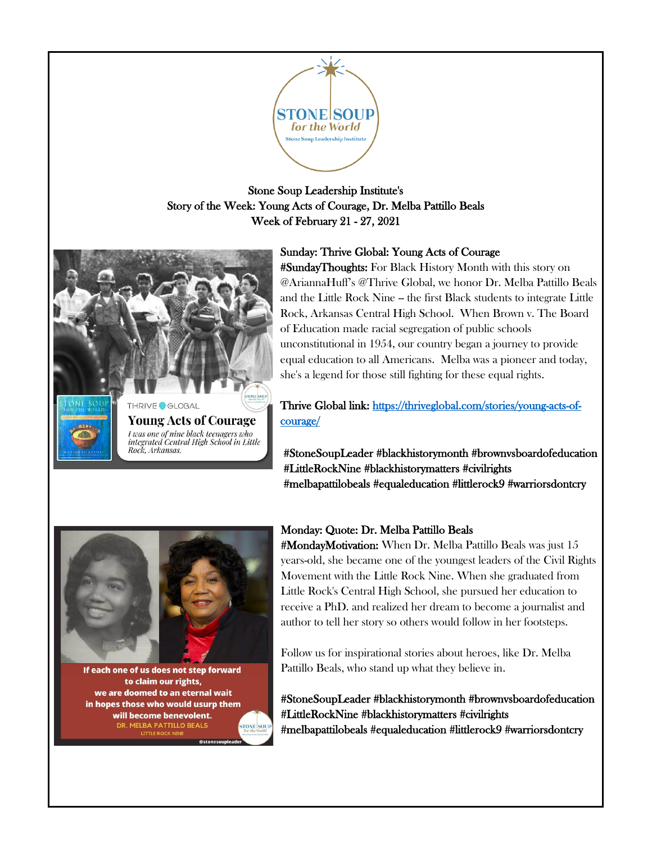

# Stone Soup Leadership Institute's Story of the Week: Young Acts of Courage, Dr. Melba Pattillo Beals Week of February 21 - 27, 2021



# Sunday: Thrive Global: Young Acts of Courage

#SundayThoughts: For Black History Month with this story on @AriannaHuff's @Thrive Global, we honor Dr. Melba Pattillo Beals and the Little Rock Nine -- the first Black students to integrate Little Rock, Arkansas Central High School. When Brown v. The Board of Education made racial segregation of public schools unconstitutional in 1954, our country began a journey to provide equal education to all Americans. Melba was a pioneer and today, she's a legend for those still fighting for these equal rights.

Thrive Global link: [https://thriveglobal.com/stories/young-acts-of](https://thriveglobal.com/stories/young-acts-of-courage/)[courage/](https://thriveglobal.com/stories/young-acts-of-courage/) 

#StoneSoupLeader #blackhistorymonth #brownvsboardofeducation #LittleRockNine #blackhistorymatters #civilrights #melbapattilobeals #equaleducation #littlerock9 #warriorsdontcry



If each one of us does not step forward to claim our rights, we are doomed to an eternal wait in hopes those who would usurp them will become benevolent. DR. MELBA PATTILLO BEALS

### Monday: Quote: Dr. Melba Pattillo Beals

#MondayMotivation: When Dr. Melba Pattillo Beals was just 15 years-old, she became one of the youngest leaders of the Civil Rights Movement with the Little Rock Nine. When she graduated from Little Rock's Central High School, she pursued her education to receive a PhD. and realized her dream to become a journalist and author to tell her story so others would follow in her footsteps.

Follow us for inspirational stories about heroes, like Dr. Melba Pattillo Beals, who stand up what they believe in.

#StoneSoupLeader #blackhistorymonth #brownvsboardofeducation #LittleRockNine #blackhistorymatters #civilrights #melbapattilobeals #equaleducation #littlerock9 #warriorsdontcry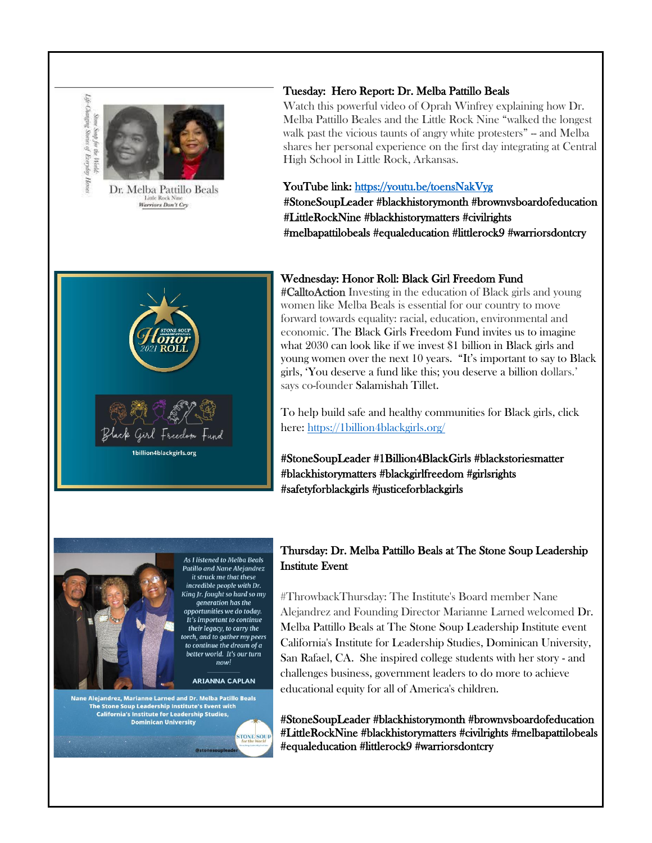



Dr. Melba Pattillo Beals Little Rock Nine<br>Warriors Don't Cry

### Tuesday: Hero Report: Dr. Melba Pattillo Beals

Watch this powerful video of Oprah Winfrey explaining how Dr. Melba Pattillo Beales and the Little Rock Nine "walked the longest walk past the vicious taunts of angry white protesters" - and Melba shares her personal experience on the first day integrating at Central High School in Little Rock, Arkansas.

#### YouTube link:<https://youtu.be/toensNakVyg>

#StoneSoupLeader #blackhistorymonth #brownvsboardofeducation #LittleRockNine #blackhistorymatters #civilrights #melbapattilobeals #equaleducation #littlerock9 #warriorsdontcry



#### Wednesday: Honor Roll: Black Girl Freedom Fund

#CalltoAction Investing in the education of Black girls and young women like Melba Beals is essential for our country to move forward towards equality: racial, education, environmental and economic. The Black Girls Freedom Fund invites us to imagine what 2030 can look like if we invest \$1 billion in Black girls and young women over the next 10 years. "It's important to say to Black girls, 'You deserve a fund like this; you deserve a billion dollars.' says co-founder Salamishah Tillet.

To help build safe and healthy communities for Black girls, click here[: https://1billion4blackgirls.org/](https://1billion4blackgirls.org/)

#StoneSoupLeader #1Billion4BlackGirls #blackstoriesmatter #blackhistorymatters #blackgirlfreedom #girlsrights #safetyforblackgirls #justiceforblackgirls



**As I listened to Melba Beals** Patillo and Nane Aleiandrez it struck me that these incredible people with Dr. King Jr. fought so hard so my generation has the opportunities we do today. It's important to continue their legacy, to carry the torch, and to gather my peers to continue the dream of a better world. It's our turn  $now!$ 

**ARIANNA CAPLAN** 

**STONE SOU** 

Nane Alejandrez, Marianne Larned and Dr. Melba Patillo Beals<br>The Stone Soup Leadership Institute's Event with **California's Institute for Leadership Studies, Dominican University** 

## Thursday: Dr. Melba Pattillo Beals at The Stone Soup Leadership Institute Event

#ThrowbackThursday: The Institute's Board member Nane Alejandrez and Founding Director Marianne Larned welcomed Dr. Melba Pattillo Beals at The Stone Soup Leadership Institute event California's Institute for Leadership Studies, Dominican University, San Rafael, CA. She inspired college students with her story - and challenges business, government leaders to do more to achieve educational equity for all of America's children.

#StoneSoupLeader #blackhistorymonth #brownvsboardofeducation #LittleRockNine #blackhistorymatters #civilrights #melbapattilobeals #equaleducation #littlerock9 #warriorsdontcry